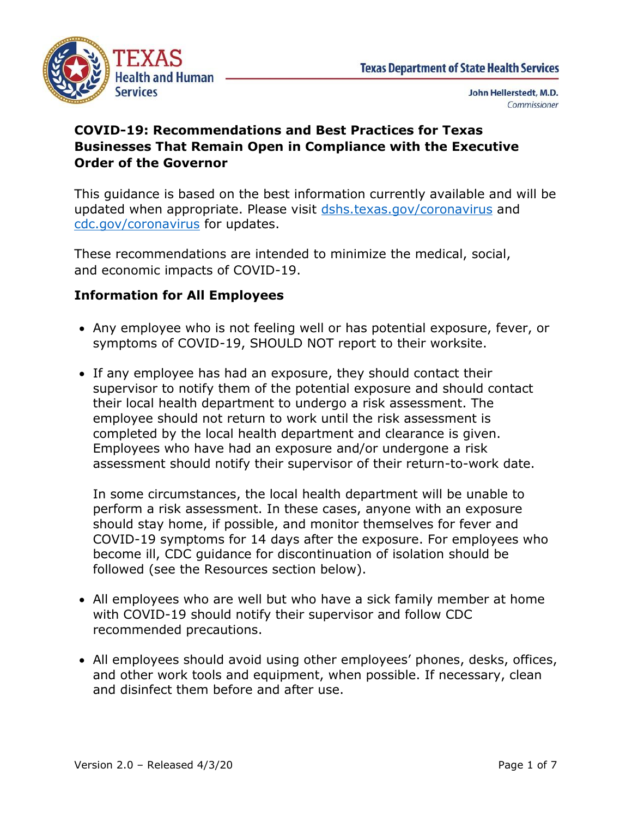

# **COVID-19: Recommendations and Best Practices for Texas Businesses That Remain Open in Compliance with the Executive Order of the Governor**

This guidance is based on the best information currently available and will be updated when appropriate. Please visit [dshs.texas.gov/coronavirus](https://www.dshs.texas.gov/coronavirus/) and [cdc.gov/coronavirus](https://www.cdc.gov/coronavirus/2019-ncov/index.html?CDC_AA_refVal=https%3A%2F%2Fwww.cdc.gov%2Fcoronavirus%2Findex.html) for updates.

These recommendations are intended to minimize the medical, social, and economic impacts of COVID-19.

# **Information for All Employees**

- Any employee who is not feeling well or has potential exposure, fever, or symptoms of COVID-19, SHOULD NOT report to their worksite.
- If any employee has had an exposure, they should contact their supervisor to notify them of the potential exposure and should contact their local health department to undergo a risk assessment. The employee should not return to work until the risk assessment is completed by the local health department and clearance is given. Employees who have had an exposure and/or undergone a risk assessment should notify their supervisor of their return-to-work date.

In some circumstances, the local health department will be unable to perform a risk assessment. In these cases, anyone with an exposure should stay home, if possible, and monitor themselves for fever and COVID-19 symptoms for 14 days after the exposure. For employees who become ill, CDC guidance for discontinuation of isolation should be followed (see the Resources section below).

- All employees who are well but who have a sick family member at home with COVID-19 should notify their supervisor and follow CDC recommended precautions.
- All employees should avoid using other employees' phones, desks, offices, and other work tools and equipment, when possible. If necessary, clean and disinfect them before and after use.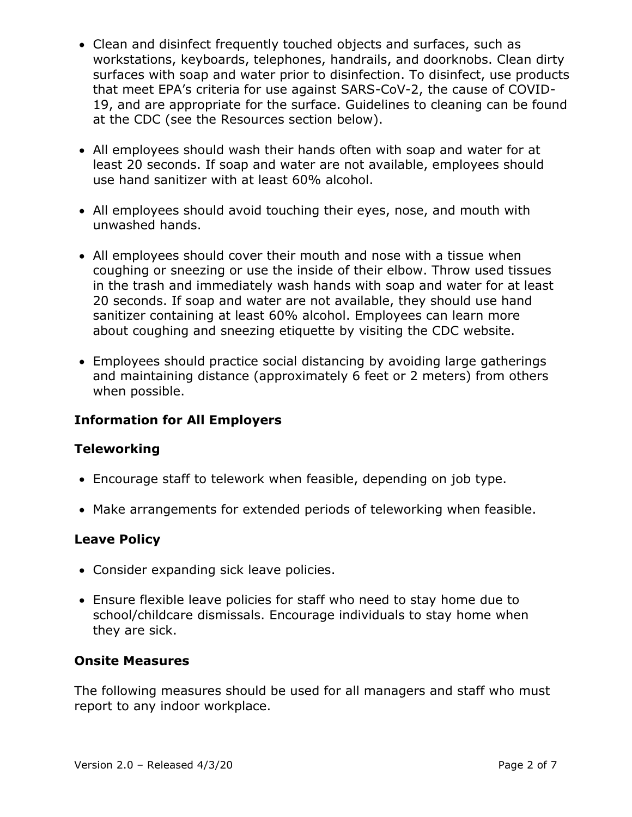- Clean and disinfect frequently touched objects and surfaces, such as workstations, keyboards, telephones, handrails, and doorknobs. Clean dirty surfaces with soap and water prior to disinfection. To disinfect, use products that meet EPA's criteria for use against SARS-CoV-2, the cause of COVID-19, and are appropriate for the surface. Guidelines to cleaning can be found at the CDC (see the Resources section below).
- All employees should wash their hands often with soap and water for at least 20 seconds. If soap and water are not available, employees should use hand sanitizer with at least 60% alcohol.
- All employees should avoid touching their eyes, nose, and mouth with unwashed hands.
- All employees should cover their mouth and nose with a tissue when coughing or sneezing or use the inside of their elbow. Throw used tissues in the trash and immediately wash hands with soap and water for at least 20 seconds. If soap and water are not available, they should use hand sanitizer containing at least 60% alcohol. Employees can learn more about coughing and sneezing etiquette by visiting the CDC website.
- Employees should practice social distancing by avoiding large gatherings and maintaining distance (approximately 6 feet or 2 meters) from others when possible.

## **Information for All Employers**

## **Teleworking**

- Encourage staff to telework when feasible, depending on job type.
- Make arrangements for extended periods of teleworking when feasible.

## **Leave Policy**

- Consider expanding sick leave policies.
- Ensure flexible leave policies for staff who need to stay home due to school/childcare dismissals. Encourage individuals to stay home when they are sick.

#### **Onsite Measures**

The following measures should be used for all managers and staff who must report to any indoor workplace.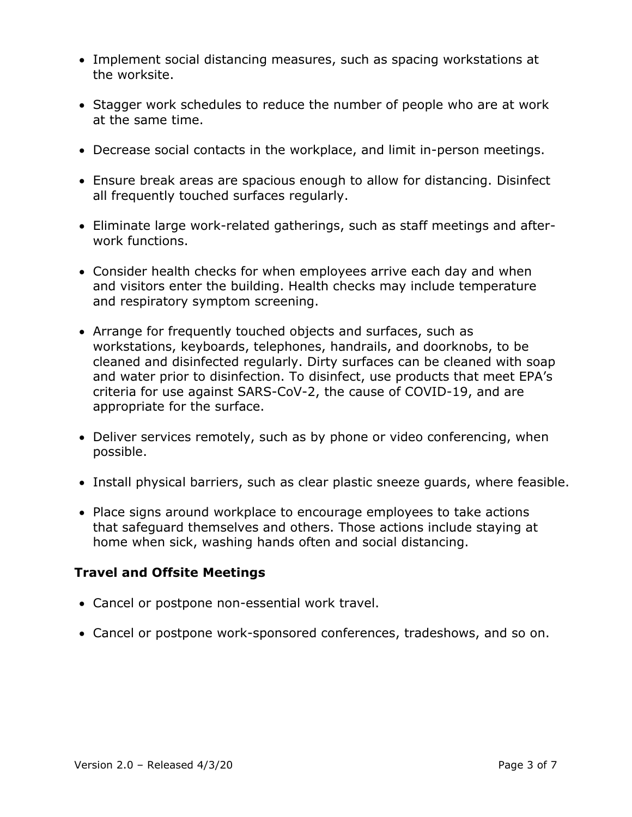- Implement social distancing measures, such as spacing workstations at the worksite.
- Stagger work schedules to reduce the number of people who are at work at the same time.
- Decrease social contacts in the workplace, and limit in-person meetings.
- Ensure break areas are spacious enough to allow for distancing. Disinfect all frequently touched surfaces regularly.
- Eliminate large work-related gatherings, such as staff meetings and afterwork functions.
- Consider health checks for when employees arrive each day and when and visitors enter the building. Health checks may include temperature and respiratory symptom screening.
- Arrange for frequently touched objects and surfaces, such as workstations, keyboards, telephones, handrails, and doorknobs, to be cleaned and disinfected regularly. Dirty surfaces can be cleaned with soap and water prior to disinfection. To disinfect, use products that meet EPA's criteria for use against SARS-CoV-2, the cause of COVID-19, and are appropriate for the surface.
- Deliver services remotely, such as by phone or video conferencing, when possible.
- Install physical barriers, such as clear plastic sneeze guards, where feasible.
- Place signs around workplace to encourage employees to take actions that safeguard themselves and others. Those actions include staying at home when sick, washing hands often and social distancing.

## **Travel and Offsite Meetings**

- Cancel or postpone non-essential work travel.
- Cancel or postpone work-sponsored conferences, tradeshows, and so on.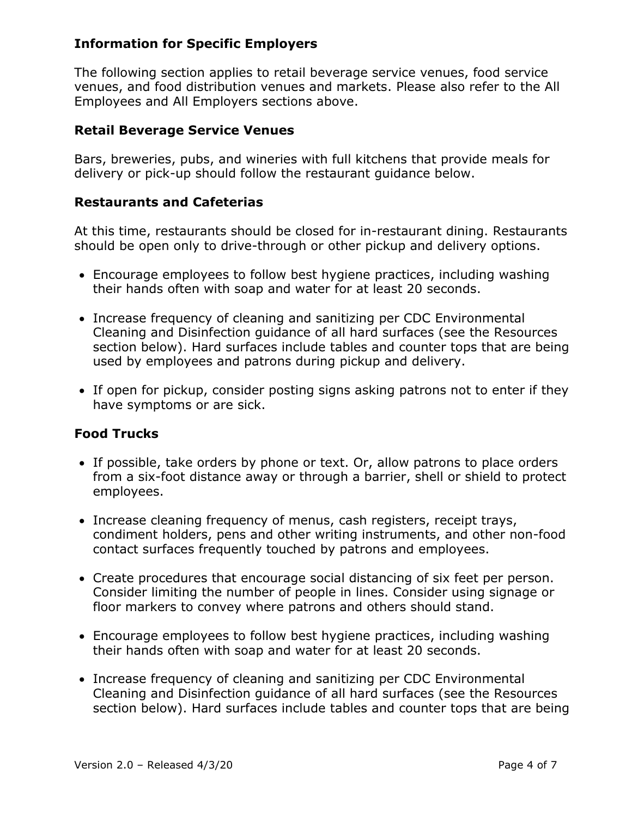# **Information for Specific Employers**

The following section applies to retail beverage service venues, food service venues, and food distribution venues and markets. Please also refer to the All Employees and All Employers sections above.

### **Retail Beverage Service Venues**

Bars, breweries, pubs, and wineries with full kitchens that provide meals for delivery or pick-up should follow the restaurant guidance below.

#### **Restaurants and Cafeterias**

At this time, restaurants should be closed for in-restaurant dining. Restaurants should be open only to drive-through or other pickup and delivery options.

- Encourage employees to follow best hygiene practices, including washing their hands often with soap and water for at least 20 seconds.
- Increase frequency of cleaning and sanitizing per CDC Environmental Cleaning and Disinfection guidance of all hard surfaces (see the Resources section below). Hard surfaces include tables and counter tops that are being used by employees and patrons during pickup and delivery.
- If open for pickup, consider posting signs asking patrons not to enter if they have symptoms or are sick.

# **Food Trucks**

- If possible, take orders by phone or text. Or, allow patrons to place orders from a six-foot distance away or through a barrier, shell or shield to protect employees.
- Increase cleaning frequency of menus, cash registers, receipt trays, condiment holders, pens and other writing instruments, and other non-food contact surfaces frequently touched by patrons and employees.
- Create procedures that encourage social distancing of six feet per person. Consider limiting the number of people in lines. Consider using signage or floor markers to convey where patrons and others should stand.
- Encourage employees to follow best hygiene practices, including washing their hands often with soap and water for at least 20 seconds.
- Increase frequency of cleaning and sanitizing per CDC Environmental Cleaning and Disinfection guidance of all hard surfaces (see the Resources section below). Hard surfaces include tables and counter tops that are being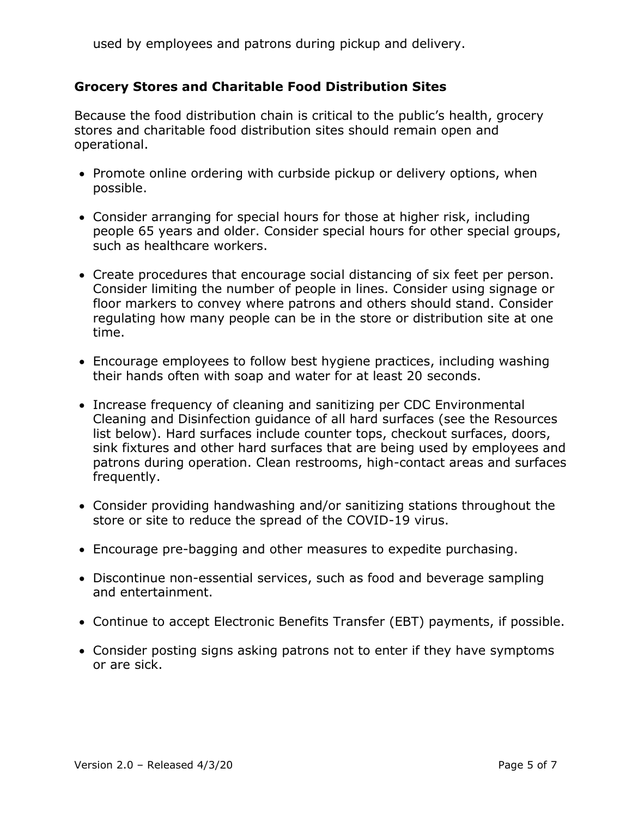used by employees and patrons during pickup and delivery.

# **Grocery Stores and Charitable Food Distribution Sites**

Because the food distribution chain is critical to the public's health, grocery stores and charitable food distribution sites should remain open and operational.

- Promote online ordering with curbside pickup or delivery options, when possible.
- Consider arranging for special hours for those at higher risk, including people 65 years and older. Consider special hours for other special groups, such as healthcare workers.
- Create procedures that encourage social distancing of six feet per person. Consider limiting the number of people in lines. Consider using signage or floor markers to convey where patrons and others should stand. Consider regulating how many people can be in the store or distribution site at one time.
- Encourage employees to follow best hygiene practices, including washing their hands often with soap and water for at least 20 seconds.
- Increase frequency of cleaning and sanitizing per CDC Environmental Cleaning and Disinfection guidance of all hard surfaces (see the Resources list below). Hard surfaces include counter tops, checkout surfaces, doors, sink fixtures and other hard surfaces that are being used by employees and patrons during operation. Clean restrooms, high-contact areas and surfaces frequently.
- Consider providing handwashing and/or sanitizing stations throughout the store or site to reduce the spread of the COVID-19 virus.
- Encourage pre-bagging and other measures to expedite purchasing.
- Discontinue non-essential services, such as food and beverage sampling and entertainment.
- Continue to accept Electronic Benefits Transfer (EBT) payments, if possible.
- Consider posting signs asking patrons not to enter if they have symptoms or are sick.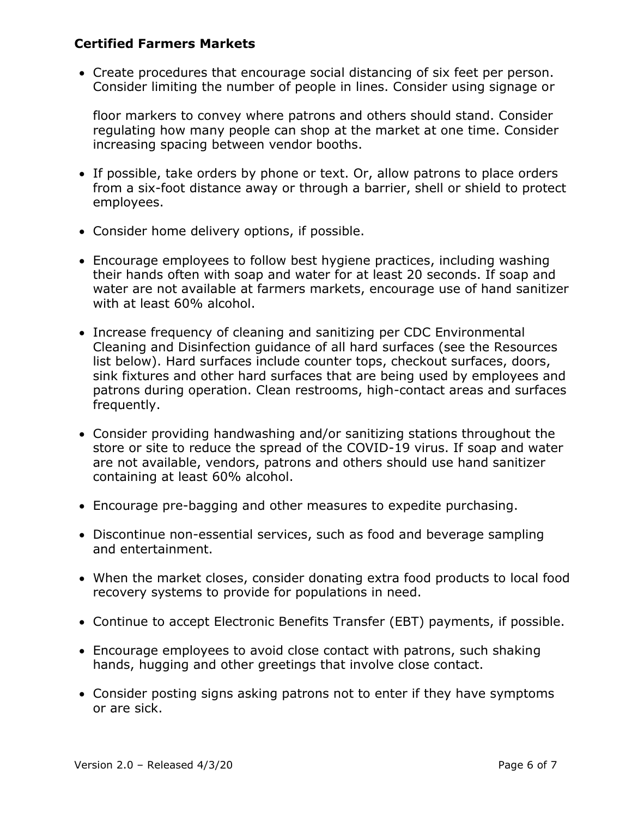## **Certified Farmers Markets**

• Create procedures that encourage social distancing of six feet per person. Consider limiting the number of people in lines. Consider using signage or

floor markers to convey where patrons and others should stand. Consider regulating how many people can shop at the market at one time. Consider increasing spacing between vendor booths.

- If possible, take orders by phone or text. Or, allow patrons to place orders from a six-foot distance away or through a barrier, shell or shield to protect employees.
- Consider home delivery options, if possible.
- Encourage employees to follow best hygiene practices, including washing their hands often with soap and water for at least 20 seconds. If soap and water are not available at farmers markets, encourage use of hand sanitizer with at least 60% alcohol.
- Increase frequency of cleaning and sanitizing per CDC Environmental Cleaning and Disinfection guidance of all hard surfaces (see the Resources list below). Hard surfaces include counter tops, checkout surfaces, doors, sink fixtures and other hard surfaces that are being used by employees and patrons during operation. Clean restrooms, high-contact areas and surfaces frequently.
- Consider providing handwashing and/or sanitizing stations throughout the store or site to reduce the spread of the COVID-19 virus. If soap and water are not available, vendors, patrons and others should use hand sanitizer containing at least 60% alcohol.
- Encourage pre-bagging and other measures to expedite purchasing.
- Discontinue non-essential services, such as food and beverage sampling and entertainment.
- When the market closes, consider donating extra food products to local food recovery systems to provide for populations in need.
- Continue to accept Electronic Benefits Transfer (EBT) payments, if possible.
- Encourage employees to avoid close contact with patrons, such shaking hands, hugging and other greetings that involve close contact.
- Consider posting signs asking patrons not to enter if they have symptoms or are sick.